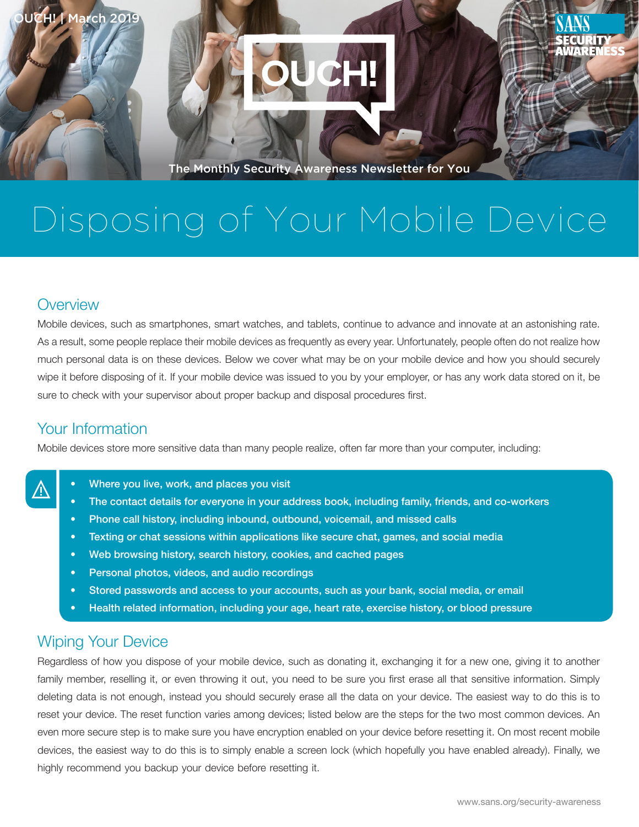



The Monthly Security Awareness Newsletter for You

# Disposing of Your Mobile Device

#### **Overview**

Mobile devices, such as smartphones, smart watches, and tablets, continue to advance and innovate at an astonishing rate. As a result, some people replace their mobile devices as frequently as every year. Unfortunately, people often do not realize how much personal data is on these devices. Below we cover what may be on your mobile device and how you should securely wipe it before disposing of it. If your mobile device was issued to you by your employer, or has any work data stored on it, be sure to check with your supervisor about proper backup and disposal procedures first.

#### Your Information

Mobile devices store more sensitive data than many people realize, often far more than your computer, including:

- Where you live, work, and places you visit
- The contact details for everyone in your address book, including family, friends, and co-workers
- Phone call history, including inbound, outbound, voicemail, and missed calls
- Texting or chat sessions within applications like secure chat, games, and social media
- Web browsing history, search history, cookies, and cached pages
- Personal photos, videos, and audio recordings
- Stored passwords and access to your accounts, such as your bank, social media, or email
- Health related information, including your age, heart rate, exercise history, or blood pressure

### **Wiping Your Device**

Regardless of how you dispose of your mobile device, such as donating it, exchanging it for a new one, giving it to another family member, reselling it, or even throwing it out, you need to be sure you first erase all that sensitive information. Simply deleting data is not enough, instead you should securely erase all the data on your device. The easiest way to do this is to reset your device. The reset function varies among devices; listed below are the steps for the two most common devices. An even more secure step is to make sure you have encryption enabled on your device before resetting it. On most recent mobile devices, the easiest way to do this is to simply enable a screen lock (which hopefully you have enabled already). Finally, we highly recommend you backup your device before resetting it.